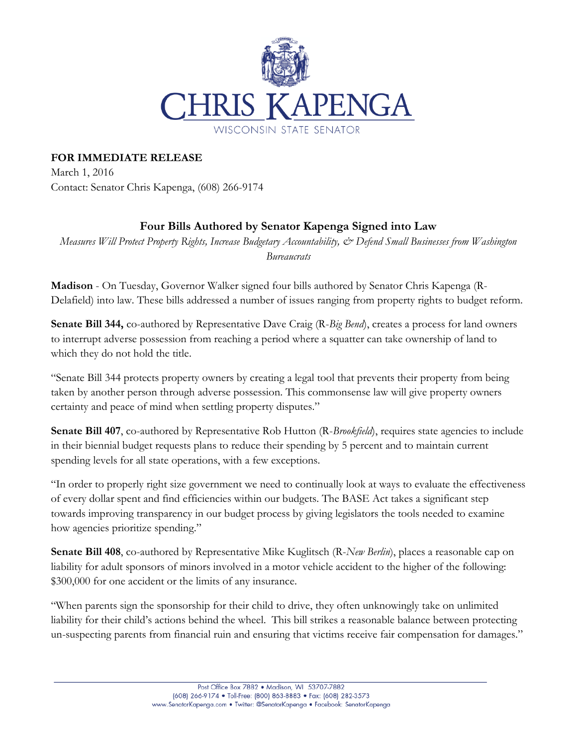

## **FOR IMMEDIATE RELEASE**

March 1, 2016 Contact: Senator Chris Kapenga, (608) 266-9174

## **Four Bills Authored by Senator Kapenga Signed into Law**

*Measures Will Protect Property Rights, Increase Budgetary Accountability, & Defend Small Businesses from Washington Bureaucrats*

**Madison** - On Tuesday, Governor Walker signed four bills authored by Senator Chris Kapenga (R-Delafield) into law. These bills addressed a number of issues ranging from property rights to budget reform.

**Senate Bill 344,** co-authored by Representative Dave Craig (R-*Big Bend*), creates a process for land owners to interrupt adverse possession from reaching a period where a squatter can take ownership of land to which they do not hold the title.

"Senate Bill 344 protects property owners by creating a legal tool that prevents their property from being taken by another person through adverse possession. This commonsense law will give property owners certainty and peace of mind when settling property disputes."

**Senate Bill 407, co-authored by Representative Rob Hutton (R-***Brookfield***), requires state agencies to include** in their biennial budget requests plans to reduce their spending by 5 percent and to maintain current spending levels for all state operations, with a few exceptions.

"In order to properly right size government we need to continually look at ways to evaluate the effectiveness of every dollar spent and find efficiencies within our budgets. The BASE Act takes a significant step towards improving transparency in our budget process by giving legislators the tools needed to examine how agencies prioritize spending."

**Senate Bill 408**, co-authored by Representative Mike Kuglitsch (R-*New Berlin*), places a reasonable cap on liability for adult sponsors of minors involved in a motor vehicle accident to the higher of the following: \$300,000 for one accident or the limits of any insurance.

"When parents sign the sponsorship for their child to drive, they often unknowingly take on unlimited liability for their child's actions behind the wheel. This bill strikes a reasonable balance between protecting un-suspecting parents from financial ruin and ensuring that victims receive fair compensation for damages."